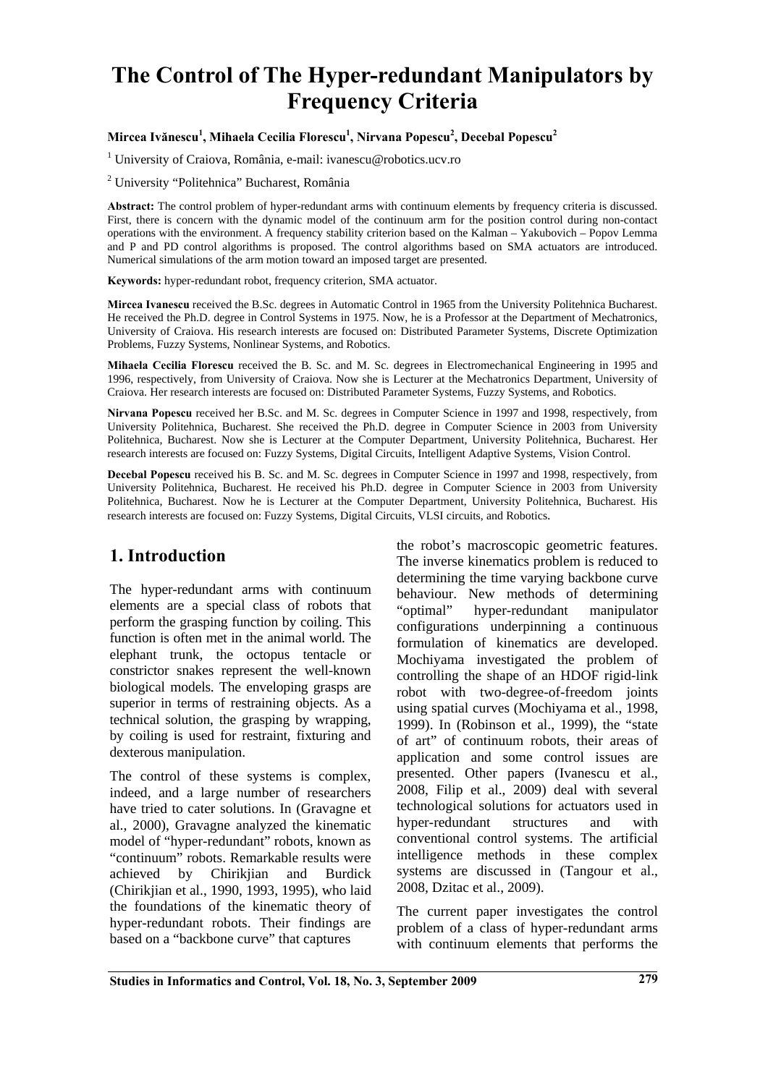# **The Control of The Hyper-redundant Manipulators by Frequency Criteria**

#### **Mircea Ivănescu<sup>1</sup> , Mihaela Cecilia Florescu1 , Nirvana Popescu2 , Decebal Popescu<sup>2</sup>**

1 University of Craiova, România, e-mail: ivanescu@robotics.ucv.ro

2 University "Politehnica" Bucharest, România

**Abstract:** The control problem of hyper-redundant arms with continuum elements by frequency criteria is discussed. First, there is concern with the dynamic model of the continuum arm for the position control during non-contact operations with the environment. A frequency stability criterion based on the Kalman – Yakubovich – Popov Lemma and P and PD control algorithms is proposed. The control algorithms based on SMA actuators are introduced. Numerical simulations of the arm motion toward an imposed target are presented.

**Keywords:** hyper-redundant robot, frequency criterion, SMA actuator.

**Mircea Ivanescu** received the B.Sc. degrees in Automatic Control in 1965 from the University Politehnica Bucharest. He received the Ph.D. degree in Control Systems in 1975. Now, he is a Professor at the Department of Mechatronics, University of Craiova. His research interests are focused on: Distributed Parameter Systems, Discrete Optimization Problems, Fuzzy Systems, Nonlinear Systems, and Robotics.

**Mihaela Cecilia Florescu** received the B. Sc. and M. Sc. degrees in Electromechanical Engineering in 1995 and 1996, respectively, from University of Craiova. Now she is Lecturer at the Mechatronics Department, University of Craiova. Her research interests are focused on: Distributed Parameter Systems, Fuzzy Systems, and Robotics.

**Nirvana Popescu** received her B.Sc. and M. Sc. degrees in Computer Science in 1997 and 1998, respectively, from University Politehnica, Bucharest. She received the Ph.D. degree in Computer Science in 2003 from University Politehnica, Bucharest. Now she is Lecturer at the Computer Department, University Politehnica, Bucharest. Her research interests are focused on: Fuzzy Systems, Digital Circuits, Intelligent Adaptive Systems, Vision Control.

**Decebal Popescu** received his B. Sc. and M. Sc. degrees in Computer Science in 1997 and 1998, respectively, from University Politehnica, Bucharest. He received his Ph.D. degree in Computer Science in 2003 from University Politehnica, Bucharest. Now he is Lecturer at the Computer Department, University Politehnica, Bucharest. His research interests are focused on: Fuzzy Systems, Digital Circuits, VLSI circuits, and Robotics.

# **1. Introduction**

The hyper-redundant arms with continuum elements are a special class of robots that perform the grasping function by coiling. This function is often met in the animal world. The elephant trunk, the octopus tentacle or constrictor snakes represent the well-known biological models. The enveloping grasps are superior in terms of restraining objects. As a technical solution, the grasping by wrapping, by coiling is used for restraint, fixturing and dexterous manipulation.

The control of these systems is complex, indeed, and a large number of researchers have tried to cater solutions. In (Gravagne et al., 2000), Gravagne analyzed the kinematic model of "hyper-redundant" robots, known as "continuum" robots. Remarkable results were achieved by Chirikjian and Burdick (Chirikjian et al., 1990, 1993, 1995), who laid the foundations of the kinematic theory of hyper-redundant robots. Their findings are based on a "backbone curve" that captures

the robot's macroscopic geometric features. The inverse kinematics problem is reduced to determining the time varying backbone curve behaviour. New methods of determining "optimal" hyper-redundant manipulator configurations underpinning a continuous formulation of kinematics are developed. Mochiyama investigated the problem of controlling the shape of an HDOF rigid-link robot with two-degree-of-freedom joints using spatial curves (Mochiyama et al., 1998, 1999). In (Robinson et al., 1999), the "state of art" of continuum robots, their areas of application and some control issues are presented. Other papers (Ivanescu et al., 2008, Filip et al., 2009) deal with several technological solutions for actuators used in hyper-redundant structures and with conventional control systems. The artificial intelligence methods in these complex systems are discussed in (Tangour et al., 2008, Dzitac et al., 2009).

The current paper investigates the control problem of a class of hyper-redundant arms with continuum elements that performs the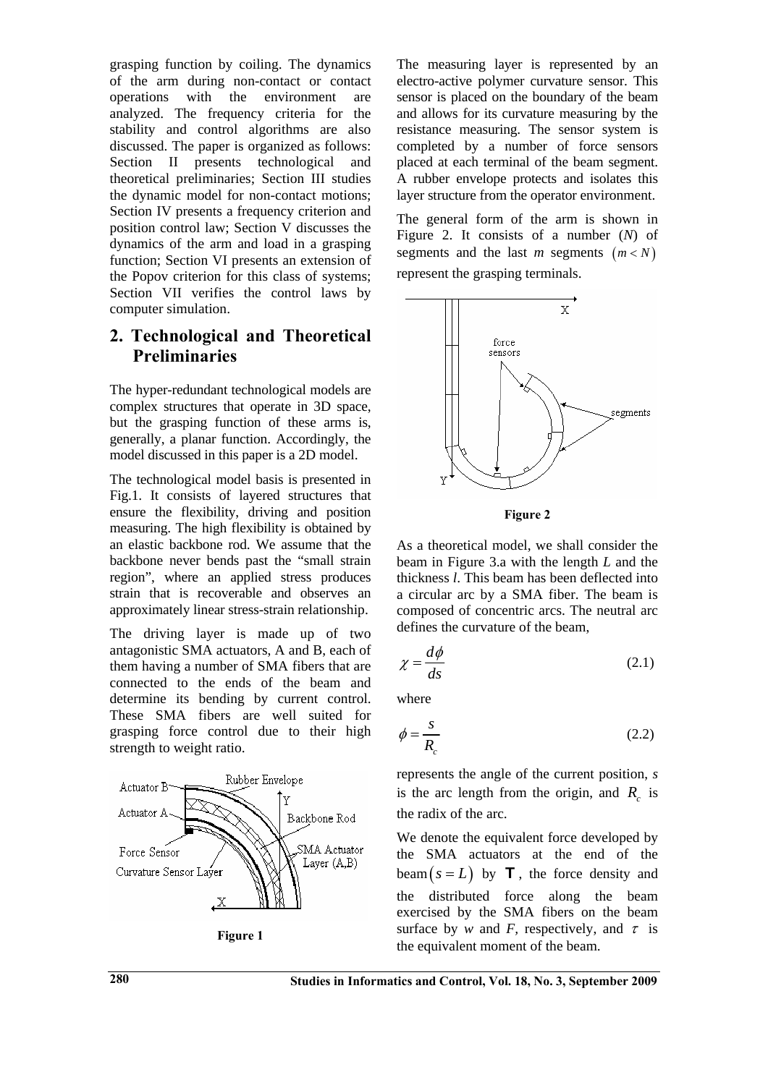grasping function by coiling. The dynamics of the arm during non-contact or contact operations with the environment are analyzed. The frequency criteria for the stability and control algorithms are also discussed. The paper is organized as follows: Section II presents technological and theoretical preliminaries; Section III studies the dynamic model for non-contact motions; Section IV presents a frequency criterion and position control law; Section V discusses the dynamics of the arm and load in a grasping function; Section VI presents an extension of the Popov criterion for this class of systems; Section VII verifies the control laws by computer simulation.

# **2. Technological and Theoretical Preliminaries**

The hyper-redundant technological models are complex structures that operate in 3D space, but the grasping function of these arms is, generally, a planar function. Accordingly, the model discussed in this paper is a 2D model.

The technological model basis is presented in Fig.1. It consists of layered structures that ensure the flexibility, driving and position measuring. The high flexibility is obtained by an elastic backbone rod. We assume that the backbone never bends past the "small strain region", where an applied stress produces strain that is recoverable and observes an approximately linear stress-strain relationship.

The driving layer is made up of two antagonistic SMA actuators, A and B, each of them having a number of SMA fibers that are connected to the ends of the beam and determine its bending by current control. These SMA fibers are well suited for grasping force control due to their high strength to weight ratio.





The measuring layer is represented by an electro-active polymer curvature sensor. This sensor is placed on the boundary of the beam and allows for its curvature measuring by the resistance measuring. The sensor system is completed by a number of force sensors placed at each terminal of the beam segment. A rubber envelope protects and isolates this layer structure from the operator environment.

The general form of the arm is shown in Figure 2. It consists of a number (*N*) of segments and the last *m* segments  $(m < N)$ represent the grasping terminals.



**Figure 2** 

As a theoretical model, we shall consider the beam in Figure 3.a with the length *L* and the thickness *l*. This beam has been deflected into a circular arc by a SMA fiber. The beam is composed of concentric arcs. The neutral arc defines the curvature of the beam,

$$
\chi = \frac{d\phi}{ds} \tag{2.1}
$$

where

$$
\phi = \frac{s}{R_c} \tag{2.2}
$$

represents the angle of the current position, *s* is the arc length from the origin, and  $R_c$  is the radix of the arc.

We denote the equivalent force developed by the SMA actuators at the end of the  $\text{beam}(s = L)$  by **T**, the force density and the distributed force along the beam exercised by the SMA fibers on the beam surface by *w* and *F*, respectively, and  $\tau$  is the equivalent moment of the beam.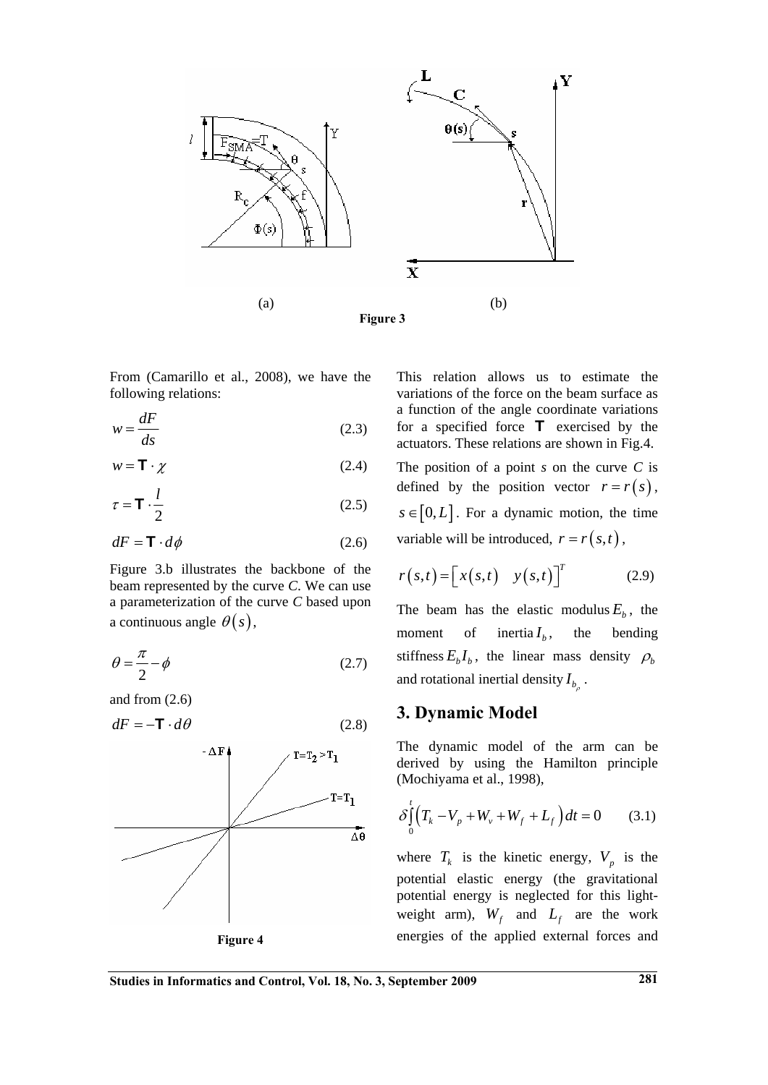

From (Camarillo et al., 2008), we have the following relations:

$$
w = \frac{dF}{ds} \tag{2.3}
$$

$$
w = \mathbf{T} \cdot \boldsymbol{\chi} \tag{2.4}
$$

$$
\tau = \mathbf{T} \cdot \frac{l}{2} \tag{2.5}
$$

$$
dF = \mathbf{T} \cdot d\phi \tag{2.6}
$$

Figure 3.b illustrates the backbone of the beam represented by the curve *C*. We can use a parameterization of the curve *C* based upon a continuous angle  $\theta(s)$ ,

$$
\theta = \frac{\pi}{2} - \phi \tag{2.7}
$$

and from (2.6)

$$
dF = -\mathbf{T} \cdot d\theta \tag{2.8}
$$



This relation allows us to estimate the variations of the force on the beam surface as a function of the angle coordinate variations for a specified force  $\mathsf T$  exercised by the actuators. These relations are shown in Fig.4. The position of a point *s* on the curve *C* is defined by the position vector  $r = r(s)$ ,  $s \in [0, L]$ . For a dynamic motion, the time variable will be introduced,  $r = r(s,t)$ ,

$$
r(s,t) = \begin{bmatrix} x(s,t) & y(s,t) \end{bmatrix}^T
$$
 (2.9)

The beam has the elastic modulus  $E<sub>b</sub>$ , the moment of inertia  $I_h$ , the bending stiffness  $E_b I_b$ , the linear mass density  $\rho_b$ and rotational inertial density  $I_{b_\rho}$ .

### **3. Dynamic Model**

The dynamic model of the arm can be derived by using the Hamilton principle (Mochiyama et al., 1998),

$$
\delta \int_{0}^{t} \left( T_{k} - V_{p} + W_{v} + W_{f} + L_{f} \right) dt = 0 \qquad (3.1)
$$

where  $T_k$  is the kinetic energy,  $V_p$  is the potential elastic energy (the gravitational potential energy is neglected for this lightweight arm),  $W_f$  and  $L_f$  are the work energies of the applied external forces and

**Studies in Informatics and Control, Vol. 18, No. 3, September 2009 281**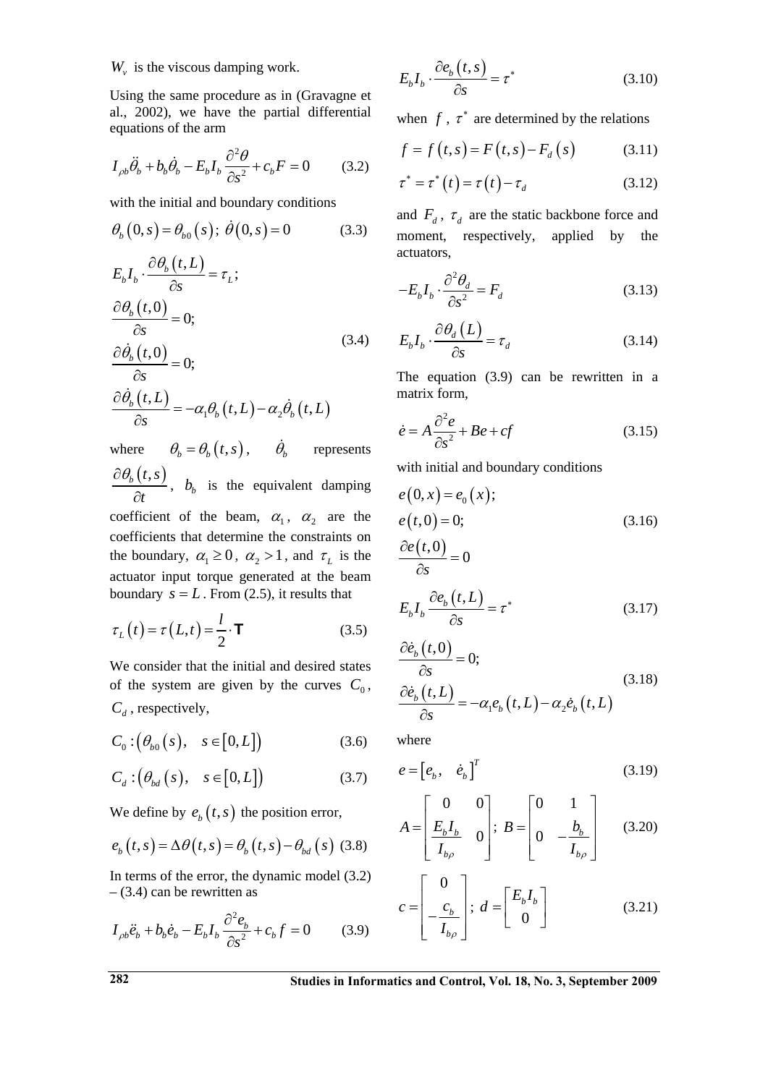$W<sub>v</sub>$  is the viscous damping work.

Using the same procedure as in (Gravagne et al., 2002), we have the partial differential equations of the arm

$$
I_{\rho b}\ddot{\theta}_b + b_b\dot{\theta}_b - E_b I_b \frac{\partial^2 \theta}{\partial s^2} + c_b F = 0 \tag{3.2}
$$

with the initial and boundary conditions

$$
\theta_b(0, s) = \theta_{b0}(s); \ \dot{\theta}(0, s) = 0 \tag{3.3}
$$
\n
$$
E_b I_b \cdot \frac{\partial \theta_b(t, L)}{\partial s} = \tau_L;
$$
\n
$$
\frac{\partial \theta_b(t, 0)}{\partial s} = 0;
$$
\n
$$
\frac{\partial \dot{\theta}_b(t, 0)}{\partial s} = 0;
$$
\n
$$
\frac{\partial \dot{\theta}_b(t, L)}{\partial s} = -\alpha_1 \theta_b(t, L) - \alpha_2 \dot{\theta}_b(t, L) \tag{3.4}
$$

where  $\theta_b = \theta_b(t, s)$ ,  $\dot{\theta}_b$  represents  $\theta _{b}\left( t,s\right)$ *t*  $\partial \theta_{\scriptscriptstyle\! R}$  $\frac{\partial (x, y)}{\partial t}$ , *b<sub>b</sub>* is the equivalent damping

coefficient of the beam,  $\alpha_1$ ,  $\alpha_2$  are the coefficients that determine the constraints on the boundary,  $\alpha_1 \geq 0$ ,  $\alpha_2 > 1$ , and  $\tau_L$  is the actuator input torque generated at the beam boundary  $s = L$ . From (2.5), it results that

$$
\tau_L(t) = \tau(L, t) = \frac{l}{2} \cdot \mathbf{T}
$$
 (3.5)

We consider that the initial and desired states of the system are given by the curves  $C_0$ ,  $C_d$ , respectively,

$$
C_0: \left(\theta_{b0}(s), \quad s \in [0, L]\right) \tag{3.6}
$$

$$
C_d: \left(\theta_{bd}\left(s\right), \quad s \in [0, L]\right) \tag{3.7}
$$

We define by  $e_b(t, s)$  the position error,

$$
e_b(t,s) = \Delta\theta(t,s) = \theta_b(t,s) - \theta_{bd}(s)
$$
 (3.8)

In terms of the error, the dynamic model (3.2)  $-$  (3.4) can be rewritten as

$$
I_{\rho b}\ddot{e}_b + b_b\dot{e}_b - E_b I_b \frac{\partial^2 e_b}{\partial s^2} + c_b f = 0 \tag{3.9}
$$

$$
E_b I_b \cdot \frac{\partial e_b(t, s)}{\partial s} = \tau^*
$$
 (3.10)

when  $f$ ,  $\tau^*$  are determined by the relations

$$
f = f(t, s) = F(t, s) - F_d(s)
$$
 (3.11)

$$
\tau^* = \tau^* (t) = \tau (t) - \tau_d \tag{3.12}
$$

and  $F_d$ ,  $\tau_d$  are the static backbone force and moment, respectively, applied by the actuators,

$$
-E_b I_b \cdot \frac{\partial^2 \theta_d}{\partial s^2} = F_d \tag{3.13}
$$

$$
E_b I_b \cdot \frac{\partial \theta_d (L)}{\partial s} = \tau_d \tag{3.14}
$$

The equation (3.9) can be rewritten in a matrix form,

$$
\dot{e} = A \frac{\partial^2 e}{\partial s^2} + Be + cf \tag{3.15}
$$

with initial and boundary conditions

$$
e(0, x) = e_0(x);
$$
  
\n
$$
e(t, 0) = 0;
$$
  
\n
$$
\frac{\partial e(t, 0)}{\partial s} = 0
$$
\n(3.16)

$$
E_b I_b \frac{\partial e_b(t, L)}{\partial s} = \tau^*
$$
\n(3.17)

$$
\frac{\partial \dot{e}_b(t,0)}{\partial s} = 0; \n\frac{\partial \dot{e}_b(t,L)}{\partial s} = -\alpha_1 e_b(t,L) - \alpha_2 \dot{e}_b(t,L)
$$
\n(3.18)

where

$$
e = \begin{bmatrix} e_b, & \dot{e}_b \end{bmatrix}^T \tag{3.19}
$$

$$
A = \begin{bmatrix} 0 & 0 \\ \frac{E_b I_b}{I_{b\rho}} & 0 \end{bmatrix}; B = \begin{bmatrix} 0 & 1 \\ 0 & -\frac{b_b}{I_{b\rho}} \end{bmatrix}
$$
 (3.20)

$$
c = \begin{bmatrix} 0 \\ -\frac{c_b}{I_{b\rho}} \end{bmatrix}; d = \begin{bmatrix} E_b I_b \\ 0 \end{bmatrix}
$$
 (3.21)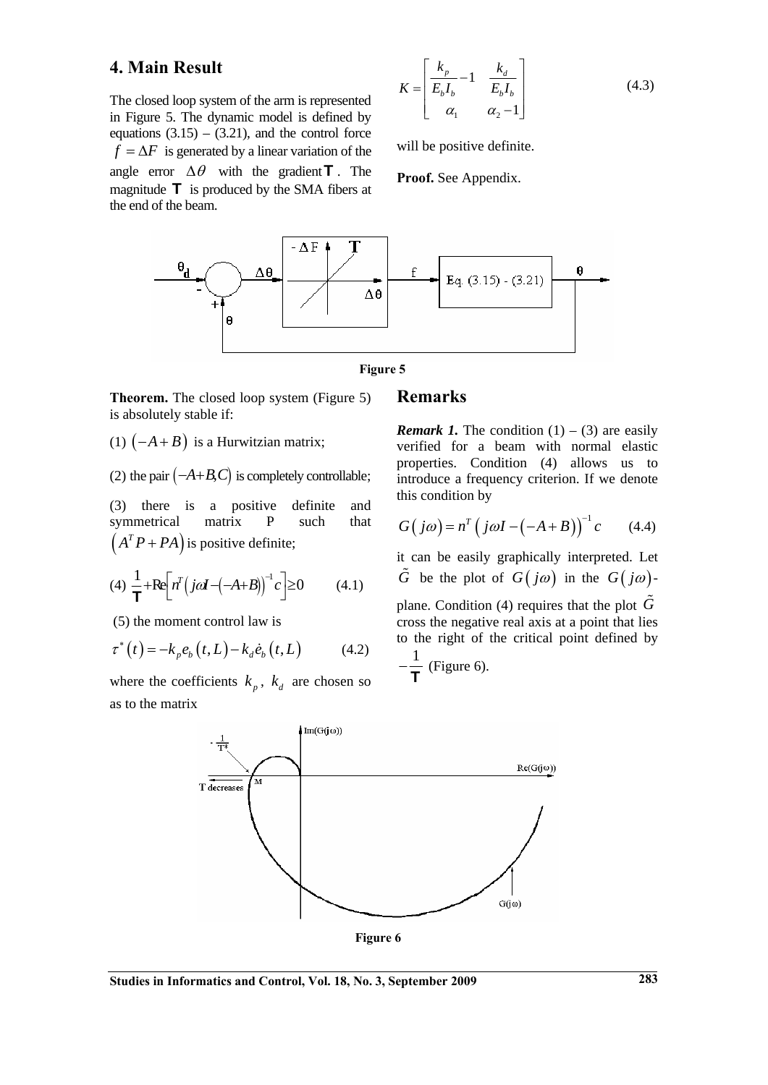## **4. Main Result**

The closed loop system of the arm is represented in Figure 5. The dynamic model is defined by equations  $(3.15) - (3.21)$ , and the control force  $f = \Delta F$  is generated by a linear variation of the angle error  $\Delta \theta$  with the gradient **T**. The magnitude  $\top$  is produced by the SMA fibers at the end of the beam.

$$
K = \begin{bmatrix} k_p & -1 & k_d \\ \overline{E_b I_b} & -1 & \overline{E_b I_b} \\ \alpha_1 & \alpha_2 - 1 \end{bmatrix} \tag{4.3}
$$

will be positive definite.

**Proof.** See Appendix.





**Theorem.** The closed loop system (Figure 5) is absolutely stable if:

(1)  $(-A + B)$  is a Hurwitzian matrix;

(2) the pair  $(-A+B,C)$  is completely controllable;

(3) there is a positive definite and symmetrical matrix P such that  $(A^T P + P A)$  is positive definite;

$$
(4) \frac{1}{\mathbf{T}} + \text{Re}\left[n^T\left(j\alpha\mathbf{I} - \left(-A+B\right)\right)^{-1}c\right] \ge 0 \tag{4.1}
$$

(5) the moment control law is

$$
\tau^*(t) = -k_p e_b(t, L) - k_d \dot{e}_b(t, L) \tag{4.2}
$$

where the coefficients  $k_{n}$ ,  $k_{d}$  are chosen so as to the matrix

#### **Remarks**

*Remark 1.* The condition  $(1) - (3)$  are easily verified for a beam with normal elastic properties. Condition (4) allows us to introduce a frequency criterion. If we denote this condition by

$$
G(j\omega) = n^T (j\omega I - (-A + B))^{-1} c \qquad (4.4)
$$

it can be easily graphically interpreted. Let  $\tilde{G}$  be the plot of  $G(j\omega)$  in the  $G(j\omega)$ -

plane. Condition (4) requires that the plot  $\tilde{G}$ cross the negative real axis at a point that lies to the right of the critical point defined by

$$
-\frac{1}{\mathbf{T}}
$$
 (Figure 6).



**Figure 6**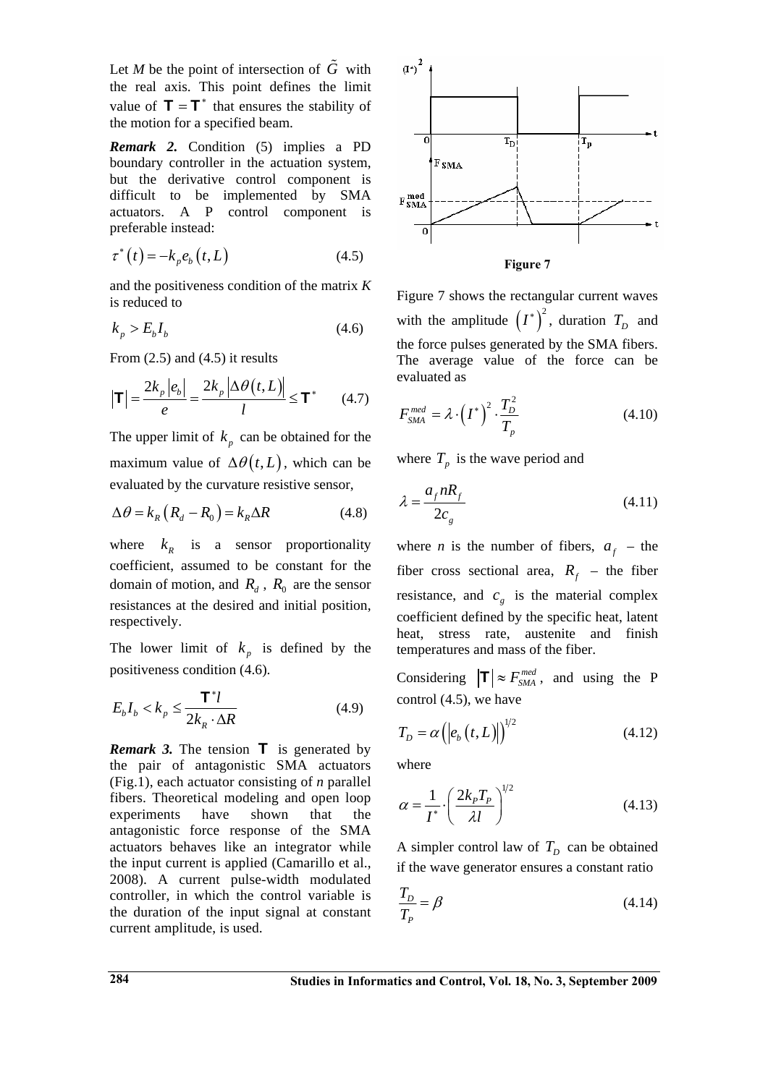Let *M* be the point of intersection of  $\tilde{G}$  with the real axis. This point defines the limit value of  $\mathbf{T} = \mathbf{T}^*$  that ensures the stability of the motion for a specified beam.

*Remark 2.* Condition (5) implies a PD boundary controller in the actuation system, but the derivative control component is difficult to be implemented by SMA actuators. A P control component is preferable instead:

$$
\tau^*(t) = -k_p e_b(t, L) \tag{4.5}
$$

and the positiveness condition of the matrix *K* is reduced to

$$
k_p > E_b I_b \tag{4.6}
$$

From  $(2.5)$  and  $(4.5)$  it results

$$
\left|\mathbf{T}\right| = \frac{2k_p \left|e_b\right|}{e} = \frac{2k_p \left|\Delta\theta\left(t, L\right)\right|}{l} \le \mathbf{T}^*
$$
 (4.7)

The upper limit of  $k_p$  can be obtained for the maximum value of  $\Delta \theta(t, L)$ , which can be evaluated by the curvature resistive sensor,

$$
\Delta \theta = k_R \left( R_d - R_0 \right) = k_R \Delta R \tag{4.8}
$$

where  $k<sub>R</sub>$  is a sensor proportionality coefficient, assumed to be constant for the domain of motion, and  $R_d$ ,  $R_0$  are the sensor resistances at the desired and initial position, respectively.

The lower limit of  $k_p$  is defined by the positiveness condition (4.6).

$$
E_b I_b < k_p \le \frac{\mathbf{T}^* l}{2k_R \cdot \Delta R} \tag{4.9}
$$

*Remark 3.* The tension  $\mathbf{T}$  is generated by the pair of antagonistic SMA actuators (Fig.1), each actuator consisting of *n* parallel fibers. Theoretical modeling and open loop experiments have shown that the antagonistic force response of the SMA actuators behaves like an integrator while the input current is applied (Camarillo et al., 2008). A current pulse-width modulated controller, in which the control variable is the duration of the input signal at constant current amplitude, is used.



**Figure 7** 

Figure 7 shows the rectangular current waves with the amplitude  $(I^*)^2$ , duration  $T_D$  and the force pulses generated by the SMA fibers. The average value of the force can be evaluated as

$$
F_{\rm SMA}^{med} = \lambda \cdot \left(I^*\right)^2 \cdot \frac{T_D^2}{T_p} \tag{4.10}
$$

where  $T_p$  is the wave period and

$$
\lambda = \frac{a_f n R_f}{2c_g} \tag{4.11}
$$

where *n* is the number of fibers,  $a<sub>f</sub>$  – the fiber cross sectional area,  $R_f$  – the fiber resistance, and  $c<sub>g</sub>$  is the material complex coefficient defined by the specific heat, latent heat, stress rate, austenite and finish temperatures and mass of the fiber.

Considering  $|\mathbf{T}| \approx F_{SMA}^{med}$ , and using the P control (4.5), we have

$$
T_D = \alpha \left( \left| e_b \left( t, L \right) \right| \right)^{1/2} \tag{4.12}
$$

where

$$
\alpha = \frac{1}{I^*} \left( \frac{2k_p T_p}{\lambda l} \right)^{1/2} \tag{4.13}
$$

A simpler control law of  $T<sub>D</sub>$  can be obtained if the wave generator ensures a constant ratio

$$
\frac{T_D}{T_P} = \beta \tag{4.14}
$$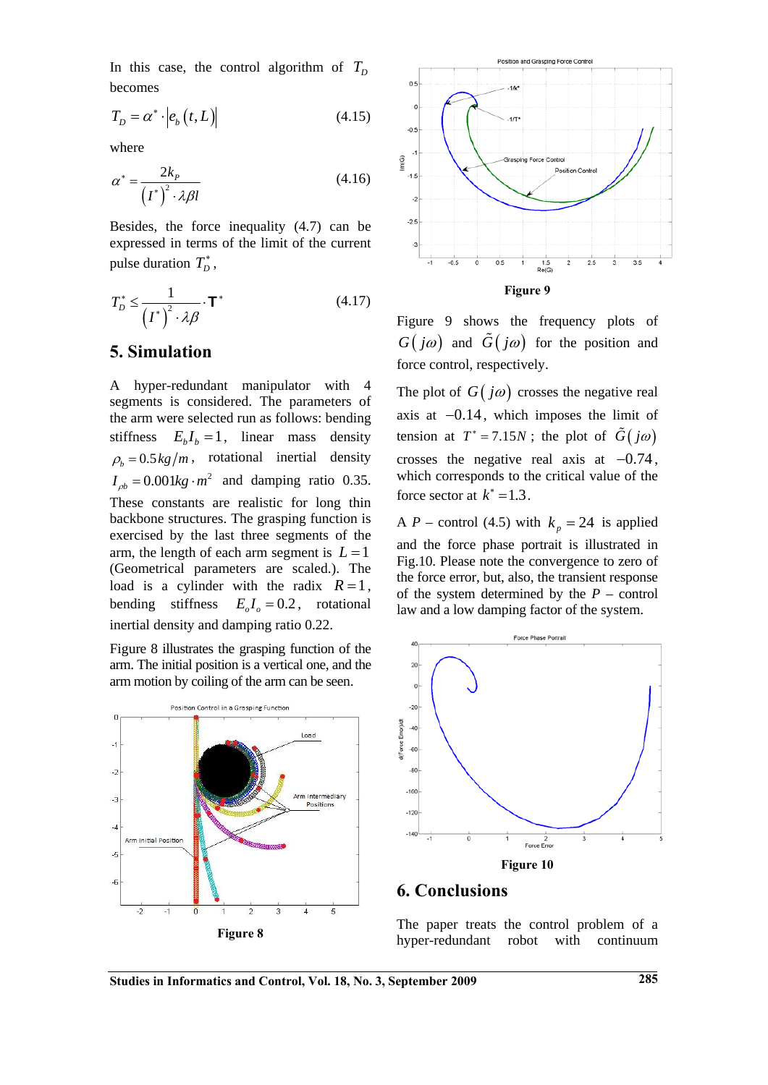In this case, the control algorithm of  $T_p$ becomes

$$
T_D = \alpha^* \cdot \left| e_b(t, L) \right| \tag{4.15}
$$

where

$$
\alpha^* = \frac{2k_P}{\left(I^*\right)^2 \cdot \lambda \beta l} \tag{4.16}
$$

Besides, the force inequality (4.7) can be expressed in terms of the limit of the current pulse duration  $T_D^*$ ,

$$
T_D^* \le \frac{1}{\left(I^*\right)^2 \cdot \lambda \beta} \cdot \mathbf{T}^* \tag{4.17}
$$

### **5. Simulation**

A hyper-redundant manipulator with 4 segments is considered. The parameters of the arm were selected run as follows: bending stiffness  $E_h I_h = 1$ , linear mass density  $\rho_{b} = 0.5 \frac{kg}{m}$ , rotational inertial density  $I_{ab} = 0.001 kg \cdot m^2$  and damping ratio 0.35. These constants are realistic for long thin backbone structures. The grasping function is exercised by the last three segments of the arm, the length of each arm segment is  $L = 1$ (Geometrical parameters are scaled.). The load is a cylinder with the radix  $R=1$ , bending stiffness  $E_a I_a = 0.2$ , rotational inertial density and damping ratio 0.22.

Figure 8 illustrates the grasping function of the arm. The initial position is a vertical one, and the arm motion by coiling of the arm can be seen.





Figure 9 shows the frequency plots of  $G(j\omega)$  and  $G(j\omega)$  for the position and force control, respectively.

The plot of  $G(j\omega)$  crosses the negative real axis at −0.14 , which imposes the limit of tension at  $T^* = 7.15N$ ; the plot of  $\tilde{G}(j\omega)$ crosses the negative real axis at  $-0.74$ , which corresponds to the critical value of the force sector at  $k^* = 1.3$ .

A *P* – control (4.5) with  $k_p = 24$  is applied and the force phase portrait is illustrated in Fig.10. Please note the convergence to zero of the force error, but, also, the transient response of the system determined by the *P* – control law and a low damping factor of the system.



### **6. Conclusions**

The paper treats the control problem of a hyper-redundant robot with continuum

**Studies in Informatics and Control, Vol. 18, No. 3, September 2009 285**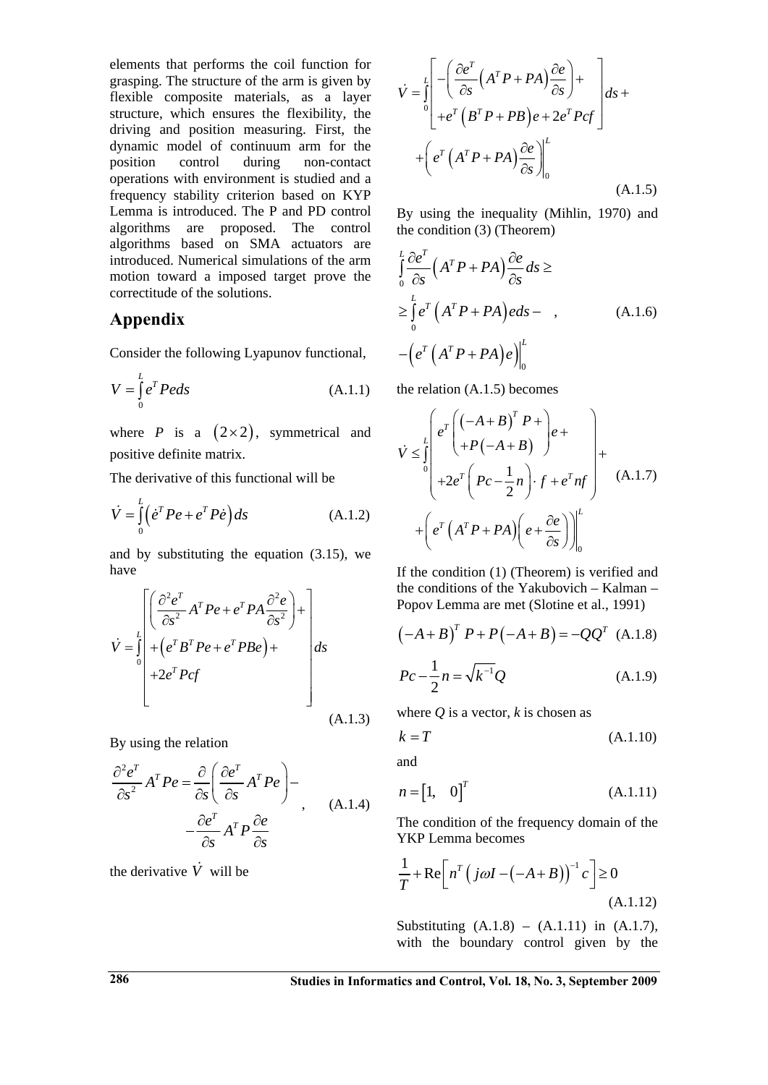elements that performs the coil function for grasping. The structure of the arm is given by flexible composite materials, as a layer structure, which ensures the flexibility, the driving and position measuring. First, the dynamic model of continuum arm for the position control during non-contact operations with environment is studied and a frequency stability criterion based on KYP Lemma is introduced. The P and PD control algorithms are proposed. The control algorithms based on SMA actuators are introduced. Numerical simulations of the arm motion toward a imposed target prove the correctitude of the solutions.

## **Appendix**

Consider the following Lyapunov functional,

$$
V = \int_{0}^{L} e^{T} Peds
$$
 (A.1.1)

where *P* is a  $(2 \times 2)$ , symmetrical and positive definite matrix.

The derivative of this functional will be

$$
\dot{V} = \int_{0}^{L} \left( \dot{e}^T P e + e^T P \dot{e} \right) ds \tag{A.1.2}
$$

and by substituting the equation (3.15), we have

$$
\dot{V} = \int_{0}^{L} \left[ \frac{\partial^2 e^T}{\partial s^2} A^T P e + e^T P A \frac{\partial^2 e}{\partial s^2} \right] + \left[ e^T B^T P e + e^T P B e \right] + 2e^T P c f \qquad ds
$$
\n(A.1.3)

By using the relation

$$
\frac{\partial^2 e^T}{\partial s^2} A^T P e = \frac{\partial}{\partial s} \left( \frac{\partial e^T}{\partial s} A^T P e \right) -
$$
  

$$
- \frac{\partial e^T}{\partial s} A^T P \frac{\partial e}{\partial s}
$$
 (A.1.4)

the derivative  $\dot{V}$  will be

$$
\dot{V} = \int_{0}^{L} \left[ -\left( \frac{\partial e^{T}}{\partial s} \left( A^{T} P + P A \right) \frac{\partial e}{\partial s} \right) + \right] ds +
$$

$$
+ \left( e^{T} \left( A^{T} P + P A \right) \frac{\partial e}{\partial s} \right) \Big|_{0}^{L}
$$

$$
+ \left( e^{T} \left( A^{T} P + P A \right) \frac{\partial e}{\partial s} \Big|_{0}^{L} \right)
$$
(A.1.5)

By using the inequality (Mihlin, 1970) and the condition (3) (Theorem)

$$
\int_{0}^{L} \frac{\partial e^{T}}{\partial s} \left( A^{T} P + P A \right) \frac{\partial e}{\partial s} ds \ge
$$
\n
$$
\geq \int_{0}^{L} e^{T} \left( A^{T} P + P A \right) e ds - , \qquad (A.1.6)
$$
\n
$$
- \left( e^{T} \left( A^{T} P + P A \right) e \right) \Big|_{0}^{L}
$$

the relation (A.1.5) becomes

$$
\dot{V} \leq \int_{0}^{L} \left( e^{T} \left( \left( -A + B \right)^{T} P + \right) e + \right) + 2e^{T} \left( Pc - \frac{1}{2}n \right) \cdot f + e^{T} n f \right) + \left( e^{T} \left( A^{T} P + P A \right) \left( e + \frac{\partial e}{\partial s} \right) \right) \Big|_{0}^{L}
$$
\n(A.1.7)

If the condition (1) (Theorem) is verified and the conditions of the Yakubovich – Kalman – Popov Lemma are met (Slotine et al., 1991)

$$
(-A + B)^{T} P + P(-A + B) = -QQ^{T} (A.1.8)
$$

$$
Pc - \frac{1}{2}n = \sqrt{k^{-1}}Q
$$
 (A.1.9)

where  $O$  is a vector,  $k$  is chosen as

$$
k = T \tag{A.1.10}
$$

and

$$
n = \begin{bmatrix} 1, & 0 \end{bmatrix}^T
$$
 (A.1.11)

The condition of the frequency domain of the YKP Lemma becomes

$$
\frac{1}{T} + \text{Re}\left[n^T \left(j\omega I - \left(-A + B\right)\right)^{-1} c\right] \ge 0
$$
\n(A.1.12)

Substituting  $(A.1.8) - (A.1.11)$  in  $(A.1.7)$ , with the boundary control given by the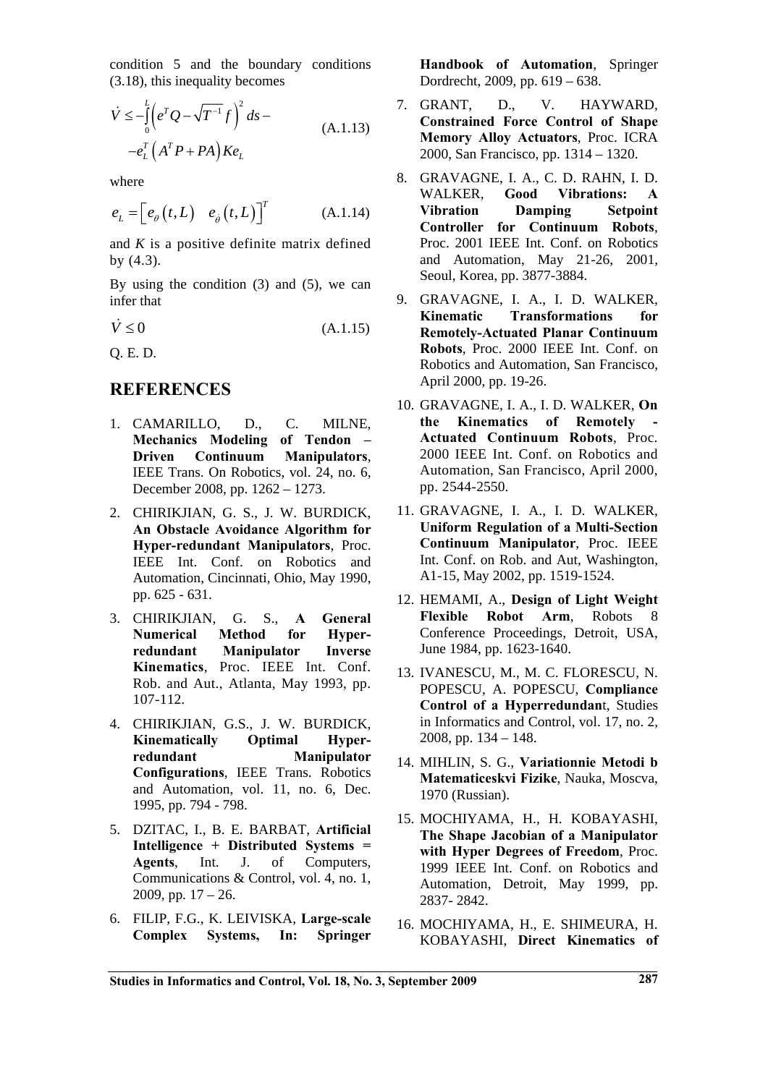condition 5 and the boundary conditions (3.18), this inequality becomes

$$
\dot{V} \le -\int_{0}^{L} \left( e^{T} Q - \sqrt{T^{-1}} f \right)^{2} ds -
$$
\n
$$
-e_{L}^{T} \left( A^{T} P + P A \right) Ke_{L}
$$
\n(A.1.13)

where

$$
e_L = \left[ e_{\theta} \left( t, L \right) \quad e_{\dot{\theta}} \left( t, L \right) \right]^T \tag{A.1.14}
$$

and *K* is a positive definite matrix defined by (4.3).

By using the condition  $(3)$  and  $(5)$ , we can infer that

$$
\dot{V} \le 0 \tag{A.1.15}
$$

Q. E. D.

### **REFERENCES**

- 1. CAMARILLO, D., C. MILNE, **Mechanics Modeling of Tendon – Driven Continuum Manipulators**, IEEE Trans. On Robotics, vol. 24, no. 6, December 2008, pp. 1262 – 1273.
- 2. CHIRIKJIAN, G. S., J. W. BURDICK, **An Obstacle Avoidance Algorithm for Hyper-redundant Manipulators**, Proc. IEEE Int. Conf. on Robotics and Automation, Cincinnati, Ohio, May 1990, pp. 625 - 631.
- 3. CHIRIKJIAN, G. S., **A General Numerical Method for Hyperredundant Manipulator Inverse Kinematics**, Proc. IEEE Int. Conf. Rob. and Aut., Atlanta, May 1993, pp. 107-112.
- 4. CHIRIKJIAN, G.S., J. W. BURDICK, **Kinematically Optimal Hyperredundant Manipulator Configurations**, IEEE Trans. Robotics and Automation, vol. 11, no. 6, Dec. 1995, pp. 794 - 798.
- 5. DZITAC, I., B. E. BARBAT, **Artificial Intelligence + Distributed Systems = Agents**, Int. J. of Computers, Communications & Control, vol. 4, no. 1, 2009, pp.  $17 - 26$ .
- 6. FILIP, F.G., K. LEIVISKA, **Large-scale Complex Systems, In: Springer**

**Handbook of Automation**, Springer Dordrecht, 2009, pp. 619 – 638.

- 7. GRANT, D., V. HAYWARD, **Constrained Force Control of Shape Memory Alloy Actuators**, Proc. ICRA 2000, San Francisco, pp. 1314 – 1320.
- 8. GRAVAGNE, I. A., C. D. RAHN, I. D. WALKER, **Good Vibrations: A Vibration Damping Setpoint Controller for Continuum Robots**, Proc. 2001 IEEE Int. Conf. on Robotics and Automation, May 21-26, 2001, Seoul, Korea, pp. 3877-3884.
- 9. GRAVAGNE, I. A., I. D. WALKER, **Kinematic Transformations for Remotely-Actuated Planar Continuum Robots**, Proc. 2000 IEEE Int. Conf. on Robotics and Automation, San Francisco, April 2000, pp. 19-26.
- 10. GRAVAGNE, I. A., I. D. WALKER, **On**  the Kinematics of Remotely **Actuated Continuum Robots**, Proc. 2000 IEEE Int. Conf. on Robotics and Automation, San Francisco, April 2000, pp. 2544-2550.
- 11. GRAVAGNE, I. A., I. D. WALKER, **Uniform Regulation of a Multi-Section Continuum Manipulator**, Proc. IEEE Int. Conf. on Rob. and Aut, Washington, A1-15, May 2002, pp. 1519-1524.
- 12. HEMAMI, A., **Design of Light Weight Flexible Robot Arm**, Robots 8 Conference Proceedings, Detroit, USA, June 1984, pp. 1623-1640.
- 13. IVANESCU, M., M. C. FLORESCU, N. POPESCU, A. POPESCU, **Compliance Control of a Hyperredundan**t, Studies in Informatics and Control, vol. 17, no. 2, 2008, pp. 134 – 148.
- 14. MIHLIN, S. G., **Variationnie Metodi b Matematiceskvi Fizike**, Nauka, Moscva, 1970 (Russian).
- 15. MOCHIYAMA, H., H. KOBAYASHI, **The Shape Jacobian of a Manipulator with Hyper Degrees of Freedom**, Proc. 1999 IEEE Int. Conf. on Robotics and Automation, Detroit, May 1999, pp. 2837- 2842.
- 16. MOCHIYAMA, H., E. SHIMEURA, H. KOBAYASHI, **Direct Kinematics of**

**Studies in Informatics and Control, Vol. 18, No. 3, September 2009 287**